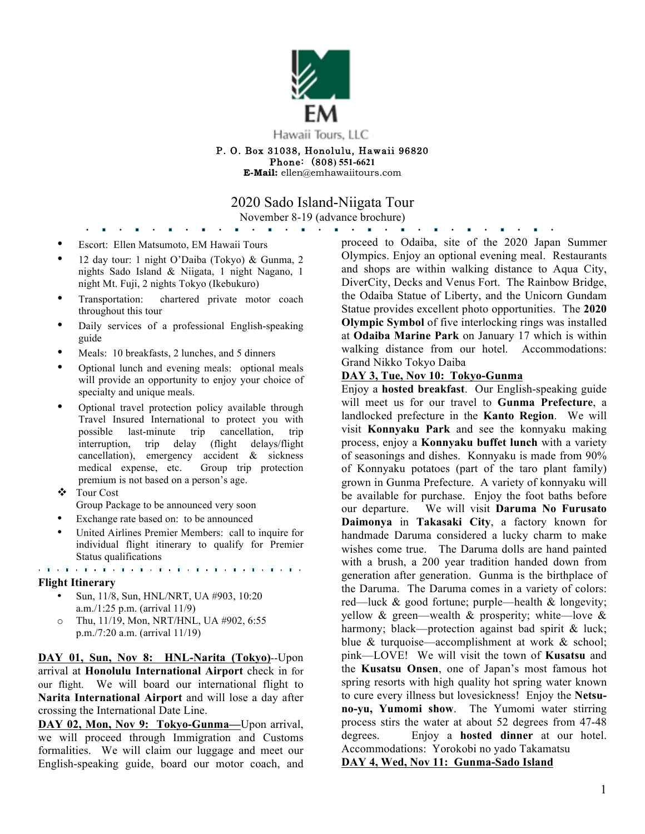

Phone: (808**) 551-6621 E-Mail:** ellen@emhawaiitours.com

2020 Sado Island-Niigata Tour

November 8-19 (advance brochure)

- Escort: Ellen Matsumoto, EM Hawaii Tours
- 12 day tour: 1 night O'Daiba (Tokyo) & Gunma, 2 nights Sado Island & Niigata, 1 night Nagano, 1 night Mt. Fuji, 2 nights Tokyo (Ikebukuro)
- Transportation: chartered private motor coach throughout this tour
- Daily services of a professional English-speaking guide
- Meals: 10 breakfasts, 2 lunches, and 5 dinners
- Optional lunch and evening meals: optional meals will provide an opportunity to enjoy your choice of specialty and unique meals.
- Optional travel protection policy available through Travel Insured International to protect you with possible last-minute trip cancellation, trip interruption, trip delay (flight delays/flight cancellation), emergency accident & sickness medical expense, etc. Group trip protection premium is not based on a person's age.
- v Tour Cost
	- Group Package to be announced very soon
- Exchange rate based on: to be announced
- United Airlines Premier Members: call to inquire for individual flight itinerary to qualify for Premier Status qualifications

# e de la companya de la caractería de la caractería de la caractería de la caractería

#### **Flight Itinerary**

- Sun, 11/8, Sun, HNL/NRT, UA #903, 10:20 a.m./1:25 p.m. (arrival 11/9)
- o Thu, 11/19, Mon, NRT/HNL, UA #902, 6:55 p.m./7:20 a.m. (arrival 11/19)

**DAY 01, Sun, Nov 8: HNL-Narita (Tokyo)**--Upon arrival at **Honolulu International Airport** check in for our flight. We will board our international flight to **Narita International Airport** and will lose a day after crossing the International Date Line.

DAY 02, Mon, Nov 9: Tokyo-Gunma-Upon arrival, we will proceed through Immigration and Customs formalities. We will claim our luggage and meet our English-speaking guide, board our motor coach, and proceed to Odaiba, site of the 2020 Japan Summer Olympics. Enjoy an optional evening meal. Restaurants and shops are within walking distance to Aqua City, DiverCity, Decks and Venus Fort. The Rainbow Bridge, the Odaiba Statue of Liberty, and the Unicorn Gundam Statue provides excellent photo opportunities. The **2020 Olympic Symbol** of five interlocking rings was installed at **Odaiba Marine Park** on January 17 which is within walking distance from our hotel. Accommodations: Grand Nikko Tokyo Daiba

**Contract Contract** 

### **DAY 3, Tue, Nov 10: Tokyo-Gunma**

Enjoy a **hosted breakfast**. Our English-speaking guide will meet us for our travel to **Gunma Prefecture**, a landlocked prefecture in the **Kanto Region**. We will visit **Konnyaku Park** and see the konnyaku making process, enjoy a **Konnyaku buffet lunch** with a variety of seasonings and dishes. Konnyaku is made from 90% of Konnyaku potatoes (part of the taro plant family) grown in Gunma Prefecture. A variety of konnyaku will be available for purchase. Enjoy the foot baths before our departure. We will visit **Daruma No Furusato Daimonya** in **Takasaki City**, a factory known for handmade Daruma considered a lucky charm to make wishes come true. The Daruma dolls are hand painted with a brush, a 200 year tradition handed down from generation after generation. Gunma is the birthplace of the Daruma. The Daruma comes in a variety of colors: red—luck & good fortune; purple—health & longevity; yellow  $\&$  green—wealth  $\&$  prosperity; white—love  $\&$ harmony; black—protection against bad spirit & luck; blue & turquoise—accomplishment at work & school; pink—LOVE! We will visit the town of **Kusatsu** and the **Kusatsu Onsen**, one of Japan's most famous hot spring resorts with high quality hot spring water known to cure every illness but lovesickness! Enjoy the **Netsuno-yu, Yumomi show**. The Yumomi water stirring process stirs the water at about 52 degrees from 47-48 degrees. Enjoy a **hosted dinner** at our hotel. Accommodations: Yorokobi no yado Takamatsu **DAY 4, Wed, Nov 11: Gunma-Sado Island**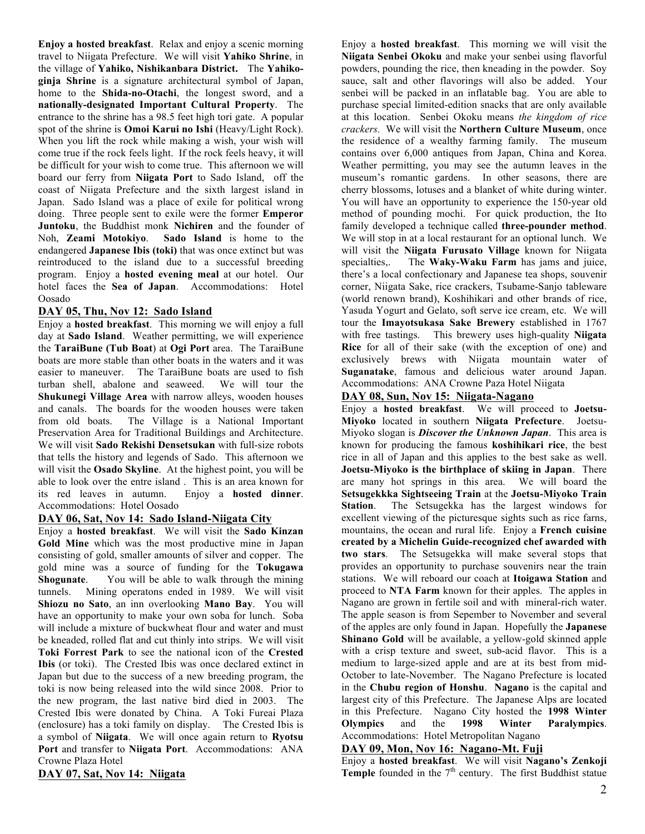**Enjoy a hosted breakfast**. Relax and enjoy a scenic morning travel to Niigata Prefecture. We will visit **Yahiko Shrine**, in the village of **Yahiko, Nishikanbara District.** The **Yahikoginja Shrine** is a signature architectural symbol of Japan, home to the **Shida-no-Otachi**, the longest sword, and a **nationally-designated Important Cultural Property**. The entrance to the shrine has a 98.5 feet high tori gate. A popular spot of the shrine is **Omoi Karui no Ishi** (Heavy/Light Rock). When you lift the rock while making a wish, your wish will come true if the rock feels light. If the rock feels heavy, it will be difficult for your wish to come true. This afternoon we will board our ferry from **Niigata Port** to Sado Island, off the coast of Niigata Prefecture and the sixth largest island in Japan. Sado Island was a place of exile for political wrong doing. Three people sent to exile were the former **Emperor Juntoku**, the Buddhist monk **Nichiren** and the founder of Noh, **Zeami Motokiyo**. **Sado Island** is home to the endangered **Japanese Ibis (toki)** that was once extinct but was reintroduced to the island due to a successful breeding program. Enjoy a **hosted evening meal** at our hotel. Our hotel faces the **Sea of Japan**. Accommodations: Hotel Oosado

## **DAY 05, Thu, Nov 12: Sado Island**

Enjoy a **hosted breakfast**. This morning we will enjoy a full day at **Sado Island**. Weather permitting, we will experience the **TaraiBune (Tub Boat**) at **Ogi Port** area. The TaraiBune boats are more stable than other boats in the waters and it was easier to maneuver. The TaraiBune boats are used to fish turban shell, abalone and seaweed. We will tour the **Shukunegi Village Area** with narrow alleys, wooden houses and canals. The boards for the wooden houses were taken from old boats. The Village is a National Important Preservation Area for Traditional Buildings and Architecture. We will visit **Sado Rekishi Densetsukan** with full-size robots that tells the history and legends of Sado. This afternoon we will visit the **Osado Skyline**. At the highest point, you will be able to look over the entre island . This is an area known for its red leaves in autumn. Enjoy a **hosted dinner**. Accommodations: Hotel Oosado

## **DAY 06, Sat, Nov 14: Sado Island-Niigata City**

Enjoy a **hosted breakfast**. We will visit the **Sado Kinzan Gold Mine** which was the most productive mine in Japan consisting of gold, smaller amounts of silver and copper. The gold mine was a source of funding for the **Tokugawa Shogunate**. You will be able to walk through the mining tunnels. Mining operatons ended in 1989. We will visit **Shiozu no Sato**, an inn overlooking **Mano Bay**. You will have an opportunity to make your own soba for lunch. Soba will include a mixture of buckwheat flour and water and must be kneaded, rolled flat and cut thinly into strips. We will visit **Toki Forrest Park** to see the national icon of the **Crested Ibis** (or toki). The Crested Ibis was once declared extinct in Japan but due to the success of a new breeding program, the toki is now being released into the wild since 2008. Prior to the new program, the last native bird died in 2003. The Crested Ibis were donated by China. A Toki Fureai Plaza (enclosure) has a toki family on display. The Crested Ibis is a symbol of **Niigata**. We will once again return to **Ryotsu Port** and transfer to **Niigata Port**. Accommodations: ANA Crowne Plaza Hotel

**DAY 07, Sat, Nov 14: Niigata**

Enjoy a **hosted breakfast**. This morning we will visit the **Niigata Senbei Okoku** and make your senbei using flavorful powders, pounding the rice, then kneading in the powder. Soy sauce, salt and other flavorings will also be added. Your senbei will be packed in an inflatable bag. You are able to purchase special limited-edition snacks that are only available at this location. Senbei Okoku means *the kingdom of rice crackers.* We will visit the **Northern Culture Museum**, once the residence of a wealthy farming family. The museum contains over 6,000 antiques from Japan, China and Korea. Weather permitting, you may see the autumn leaves in the museum's romantic gardens. In other seasons, there are cherry blossoms, lotuses and a blanket of white during winter. You will have an opportunity to experience the 150-year old method of pounding mochi. For quick production, the Ito family developed a technique called **three-pounder method**. We will stop in at a local restaurant for an optional lunch. We will visit the **Niigata Furusato Village** known for Niigata specialties,. The **Waky-Waku Farm** has jams and juice, there's a local confectionary and Japanese tea shops, souvenir corner, Niigata Sake, rice crackers, Tsubame-Sanjo tableware (world renown brand), Koshihikari and other brands of rice, Yasuda Yogurt and Gelato, soft serve ice cream, etc. We will tour the **Imayotsukasa Sake Brewery** established in 1767 with free tastings. This brewery uses high-quality **Niigata Rice** for all of their sake (with the exception of one) and exclusively brews with Niigata mountain water of **Suganatake**, famous and delicious water around Japan. Accommodations: ANA Crowne Paza Hotel Niigata

## **DAY 08, Sun, Nov 15: Niigata-Nagano**

Enjoy a **hosted breakfast**. We will proceed to **Joetsu-Miyoko** located in southern **Niigata Prefecture**. Joetsu-Miyoko slogan is *Discover the Unknown Japan*. This area is known for producing the famous **koshihikari rice**, the best rice in all of Japan and this applies to the best sake as well. **Joetsu-Miyoko is the birthplace of skiing in Japan**. There are many hot springs in this area. We will board the **Setsugekkka Sightseeing Train** at the **Joetsu-Miyoko Train Station**. The Setsugekka has the largest windows for excellent viewing of the picturesque sights such as rice farns, mountains, the ocean and rural life. Enjoy a **French cuisine created by a Michelin Guide-recognized chef awarded with two stars**. The Setsugekka will make several stops that provides an opportunity to purchase souvenirs near the train stations. We will reboard our coach at **Itoigawa Station** and proceed to **NTA Farm** known for their apples. The apples in Nagano are grown in fertile soil and with mineral-rich water. The apple season is from Sepember to November and several of the apples are only found in Japan. Hopefully the **Japanese Shinano Gold** will be available, a yellow-gold skinned apple with a crisp texture and sweet, sub-acid flavor. This is a medium to large-sized apple and are at its best from mid-October to late-November. The Nagano Prefecture is located in the **Chubu region of Honshu**. **Nagano** is the capital and largest city of this Prefecture. The Japanese Alps are located in this Prefecture. Nagano City hosted the **1998 Winter Olympics** and the **1998 Winter Paralympics**. Accommodations: Hotel Metropolitan Nagano

## **DAY 09, Mon, Nov 16: Nagano-Mt. Fuji**

Enjoy a **hosted breakfast**. We will visit **Nagano's Zenkoji Temple** founded in the  $7<sup>th</sup>$  century. The first Buddhist statue